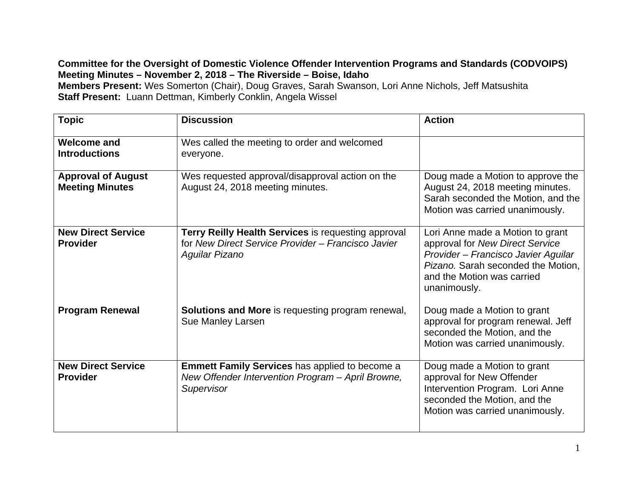## **Committee for the Oversight of Domestic Violence Offender Intervention Programs and Standards (CODVOIPS) Meeting Minutes – November 2, 2018 – The Riverside – Boise, Idaho**

**Members Present:** Wes Somerton (Chair), Doug Graves, Sarah Swanson, Lori Anne Nichols, Jeff Matsushita **Staff Present:** Luann Dettman, Kimberly Conklin, Angela Wissel

| <b>Topic</b>                                        | <b>Discussion</b>                                                                                                                  | <b>Action</b>                                                                                                                                                                                  |
|-----------------------------------------------------|------------------------------------------------------------------------------------------------------------------------------------|------------------------------------------------------------------------------------------------------------------------------------------------------------------------------------------------|
| <b>Welcome and</b><br><b>Introductions</b>          | Wes called the meeting to order and welcomed<br>everyone.                                                                          |                                                                                                                                                                                                |
| <b>Approval of August</b><br><b>Meeting Minutes</b> | Wes requested approval/disapproval action on the<br>August 24, 2018 meeting minutes.                                               | Doug made a Motion to approve the<br>August 24, 2018 meeting minutes.<br>Sarah seconded the Motion, and the<br>Motion was carried unanimously.                                                 |
| <b>New Direct Service</b><br><b>Provider</b>        | <b>Terry Reilly Health Services is requesting approval</b><br>for New Direct Service Provider - Francisco Javier<br>Aguilar Pizano | Lori Anne made a Motion to grant<br>approval for New Direct Service<br>Provider - Francisco Javier Aguilar<br>Pizano. Sarah seconded the Motion,<br>and the Motion was carried<br>unanimously. |
| <b>Program Renewal</b>                              | <b>Solutions and More</b> is requesting program renewal,<br>Sue Manley Larsen                                                      | Doug made a Motion to grant<br>approval for program renewal. Jeff<br>seconded the Motion, and the<br>Motion was carried unanimously.                                                           |
| <b>New Direct Service</b><br><b>Provider</b>        | <b>Emmett Family Services has applied to become a</b><br>New Offender Intervention Program - April Browne,<br>Supervisor           | Doug made a Motion to grant<br>approval for New Offender<br>Intervention Program. Lori Anne<br>seconded the Motion, and the<br>Motion was carried unanimously.                                 |